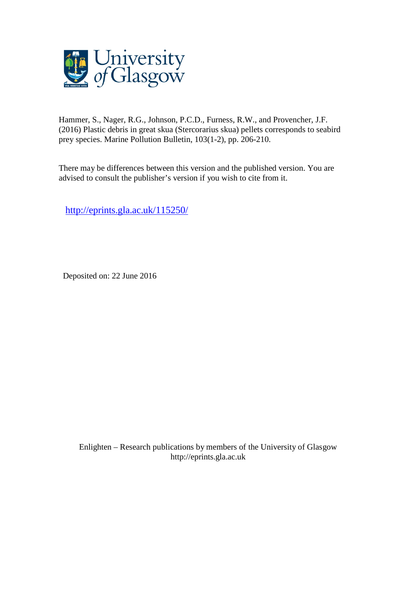

Hammer, S., Nager, R.G., Johnson, P.C.D., Furness, R.W., and Provencher, J.F. (2016) Plastic debris in great skua (Stercorarius skua) pellets corresponds to seabird prey species. Marine Pollution Bulletin, 103(1-2), pp. 206-210.

There may be differences between this version and the published version. You are advised to consult the publisher's version if you wish to cite from it.

<http://eprints.gla.ac.uk/115250/>

Deposited on: 22 June 2016

Enlighten – Research publications by members of the University of Glasgo[w](http://eprints.gla.ac.uk/) [http://eprints.gla.ac.uk](http://eprints.gla.ac.uk/)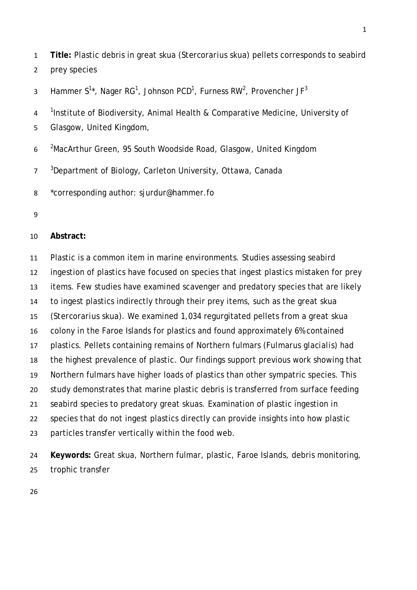**Title:** Plastic debris in great skua (*Stercorarius skua*) pellets corresponds to seabird prey species

3 Hammer S<sup>1\*</sup>, Nager RG<sup>1</sup>, Johnson PCD<sup>1</sup>, Furness RW<sup>2</sup>, Provencher JF<sup>3</sup>

<sup>1</sup> Institute of Biodiversity, Animal Health & Comparative Medicine, University of

- Glasgow, United Kingdom,
- 6 <sup>2</sup> MacArthur Green, 95 South Woodside Road, Glasgow, United Kingdom

<sup>3</sup> Department of Biology, Carleton University, Ottawa, Canada

\*corresponding author: sjurdur@hammer.fo

# **Abstract:**

 Plastic is a common item in marine environments. Studies assessing seabird ingestion of plastics have focused on species that ingest plastics mistaken for prey items. Few studies have examined scavenger and predatory species that are likely to ingest plastics indirectly through their prey items, such as the great skua (*Stercorarius skua*). We examined 1,034 regurgitated pellets from a great skua colony in the Faroe Islands for plastics and found approximately 6% contained plastics. Pellets containing remains of Northern fulmars (*Fulmarus glacialis*) had the highest prevalence of plastic. Our findings support previous work showing that Northern fulmars have higher loads of plastics than other sympatric species. This study demonstrates that marine plastic debris is transferred from surface feeding seabird species to predatory great skuas. Examination of plastic ingestion in species that do not ingest plastics directly can provide insights into how plastic particles transfer vertically within the food web.

 **Keywords:** Great skua, Northern fulmar, plastic, Faroe Islands, debris monitoring, trophic transfer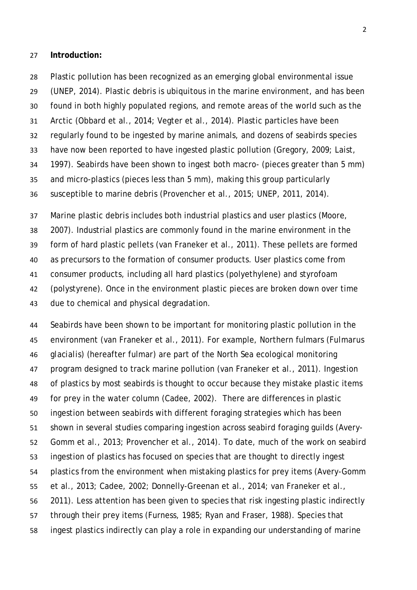#### **Introduction:**

 Plastic pollution has been recognized as an emerging global environmental issue (UNEP, 2014). Plastic debris is ubiquitous in the marine environment, and has been found in both highly populated regions, and remote areas of the world such as the Arctic (Obbard et al., 2014; Vegter et al., 2014). Plastic particles have been regularly found to be ingested by marine animals, and dozens of seabirds species have now been reported to have ingested plastic pollution (Gregory, 2009; Laist, 1997). Seabirds have been shown to ingest both macro- (pieces greater than 5 mm) and micro-plastics (pieces less than 5 mm), making this group particularly susceptible to marine debris (Provencher et al., 2015; UNEP, 2011, 2014).

 Marine plastic debris includes both industrial plastics and user plastics (Moore, 2007). Industrial plastics are commonly found in the marine environment in the form of hard plastic pellets (van Franeker et al., 2011). These pellets are formed as precursors to the formation of consumer products. User plastics come from consumer products, including all hard plastics (polyethylene) and styrofoam (polystyrene). Once in the environment plastic pieces are broken down over time due to chemical and physical degradation.

 Seabirds have been shown to be important for monitoring plastic pollution in the environment (van Franeker et al., 2011). For example, Northern fulmars (*Fulmarus glacialis*) (hereafter fulmar) are part of the North Sea ecological monitoring program designed to track marine pollution (van Franeker et al., 2011). Ingestion of plastics by most seabirds is thought to occur because they mistake plastic items for prey in the water column (Cadee, 2002). There are differences in plastic ingestion between seabirds with different foraging strategies which has been shown in several studies comparing ingestion across seabird foraging guilds (Avery- Gomm et al., 2013; Provencher et al., 2014). To date, much of the work on seabird ingestion of plastics has focused on species that are thought to directly ingest plastics from the environment when mistaking plastics for prey items (Avery-Gomm et al., 2013; Cadee, 2002; Donnelly-Greenan et al., 2014; van Franeker et al., 2011). Less attention has been given to species that risk ingesting plastic indirectly through their prey items (Furness, 1985; Ryan and Fraser, 1988). Species that ingest plastics indirectly can play a role in expanding our understanding of marine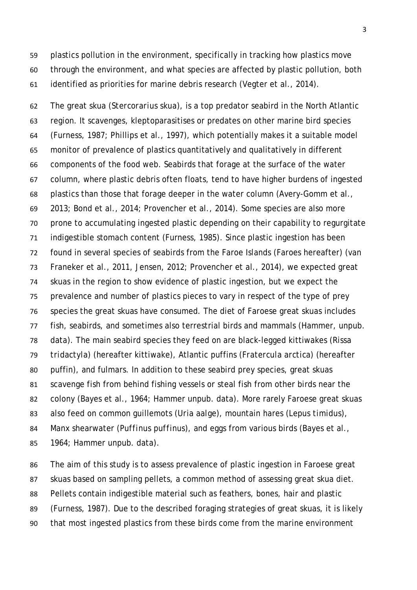plastics pollution in the environment, specifically in tracking how plastics move through the environment, and what species are affected by plastic pollution, both identified as priorities for marine debris research (Vegter et al., 2014).

 The great skua (*Stercorarius skua*), is a top predator seabird in the North Atlantic region. It scavenges, kleptoparasitises or predates on other marine bird species (Furness, 1987; Phillips et al., 1997), which potentially makes it a suitable model monitor of prevalence of plastics quantitatively and qualitatively in different components of the food web. Seabirds that forage at the surface of the water column, where plastic debris often floats, tend to have higher burdens of ingested plastics than those that forage deeper in the water column (Avery-Gomm et al., 2013; Bond et al., 2014; Provencher et al., 2014). Some species are also more prone to accumulating ingested plastic depending on their capability to regurgitate indigestible stomach content (Furness, 1985). Since plastic ingestion has been found in several species of seabirds from the Faroe Islands (Faroes hereafter) (van Franeker et al., 2011, Jensen, 2012; Provencher et al., 2014), we expected great skuas in the region to show evidence of plastic ingestion, but we expect the prevalence and number of plastics pieces to vary in respect of the type of prey species the great skuas have consumed. The diet of Faroese great skuas includes fish, seabirds, and sometimes also terrestrial birds and mammals (Hammer, unpub. data). The main seabird species they feed on are black-legged kittiwakes (*Rissa tridactyla*) (hereafter kittiwake), Atlantic puffins (*Fratercula arctica*) (hereafter puffin), and fulmars. In addition to these seabird prey species, great skuas scavenge fish from behind fishing vessels or steal fish from other birds near the colony (Bayes et al., 1964; Hammer unpub. data). More rarely Faroese great skuas also feed on common guillemots (*Uria aalge*), mountain hares (*Lepus timidus*), Manx shearwater (*Puffinus puffinus*), and eggs from various birds (Bayes et al., 1964; Hammer unpub. data).

 The aim of this study is to assess prevalence of plastic ingestion in Faroese great skuas based on sampling pellets, a common method of assessing great skua diet. Pellets contain indigestible material such as feathers, bones, hair and plastic (Furness, 1987). Due to the described foraging strategies of great skuas, it is likely that most ingested plastics from these birds come from the marine environment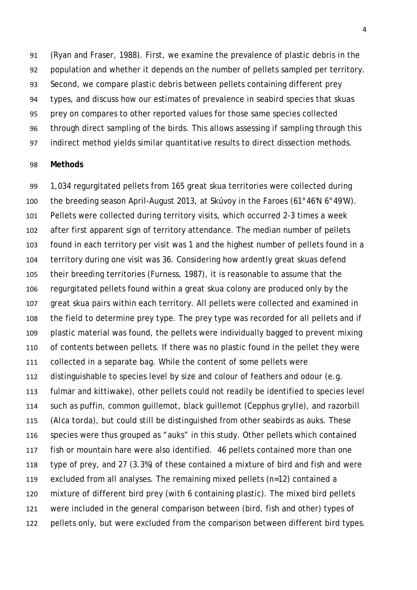(Ryan and Fraser, 1988). First, we examine the prevalence of plastic debris in the population and whether it depends on the number of pellets sampled per territory. Second, we compare plastic debris between pellets containing different prey types, and discuss how our estimates of prevalence in seabird species that skuas prey on compares to other reported values for those same species collected through direct sampling of the birds. This allows assessing if sampling through this indirect method yields similar quantitative results to direct dissection methods.

### **Methods**

 1,034 regurgitated pellets from 165 great skua territories were collected during the breeding season April-August 2013, at Skúvoy in the Faroes (61°46'N 6°49'W). Pellets were collected during territory visits, which occurred 2-3 times a week after first apparent sign of territory attendance. The median number of pellets found in each territory per visit was 1 and the highest number of pellets found in a territory during one visit was 36. Considering how ardently great skuas defend their breeding territories (Furness, 1987), it is reasonable to assume that the regurgitated pellets found within a great skua colony are produced only by the great skua pairs within each territory. All pellets were collected and examined in the field to determine prey type. The prey type was recorded for all pellets and if plastic material was found, the pellets were individually bagged to prevent mixing of contents between pellets. If there was no plastic found in the pellet they were collected in a separate bag. While the content of some pellets were distinguishable to species level by size and colour of feathers and odour (e.g. fulmar and kittiwake), other pellets could not readily be identified to species level such as puffin, common guillemot*,* black guillemot (*Cepphus grylle*)*,* and razorbill (*Alca torda*), but could still be distinguished from other seabirds as auks. These species were thus grouped as "auks" in this study. Other pellets which contained fish or mountain hare were also identified. 46 pellets contained more than one type of prey, and 27 (3.3%) of these contained a mixture of bird and fish and were excluded from all analyses. The remaining mixed pellets (n=12) contained a mixture of different bird prey (with 6 containing plastic). The mixed bird pellets were included in the general comparison between (bird, fish and other) types of pellets only, but were excluded from the comparison between different bird types.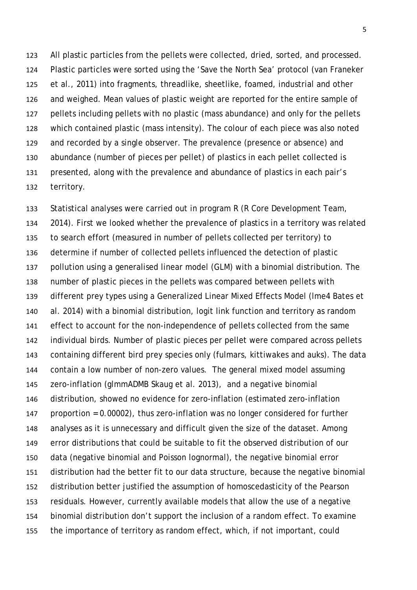All plastic particles from the pellets were collected, dried, sorted, and processed. Plastic particles were sorted using the 'Save the North Sea' protocol (van Franeker et al., 2011) into fragments, threadlike, sheetlike, foamed, industrial and other and weighed. Mean values of plastic weight are reported for the entire sample of pellets including pellets with no plastic (mass abundance) and only for the pellets which contained plastic (mass intensity). The colour of each piece was also noted and recorded by a single observer. The prevalence (presence or absence) and abundance (number of pieces per pellet) of plastics in each pellet collected is presented, along with the prevalence and abundance of plastics in each pair's territory.

 Statistical analyses were carried out in program R (R Core Development Team, 2014). First we looked whether the prevalence of plastics in a territory was related to search effort (measured in number of pellets collected per territory) to determine if number of collected pellets influenced the detection of plastic pollution using a generalised linear model (GLM) with a binomial distribution. The number of plastic pieces in the pellets was compared between pellets with different prey types using a Generalized Linear Mixed Effects Model (lme4 Bates et al. 2014) with a binomial distribution, logit link function and territory as random effect to account for the non-independence of pellets collected from the same individual birds. Number of plastic pieces per pellet were compared across pellets containing different bird prey species only (fulmars, kittiwakes and auks). The data contain a low number of non-zero values. The general mixed model assuming zero-inflation (glmmADMB Skaug et al. 2013), and a negative binomial distribution, showed no evidence for zero-inflation (estimated zero-inflation proportion = 0.00002), thus zero-inflation was no longer considered for further analyses as it is unnecessary and difficult given the size of the dataset. Among error distributions that could be suitable to fit the observed distribution of our data (negative binomial and Poisson lognormal), the negative binomial error distribution had the better fit to our data structure, because the negative binomial distribution better justified the assumption of homoscedasticity of the Pearson residuals. However, currently available models that allow the use of a negative binomial distribution don't support the inclusion of a random effect. To examine the importance of territory as random effect, which, if not important, could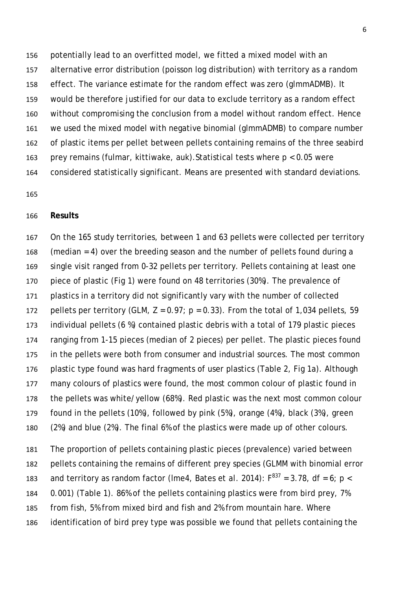potentially lead to an overfitted model, we fitted a mixed model with an alternative error distribution (poisson log distribution) with territory as a random effect. The variance estimate for the random effect was zero (glmmADMB). It would be therefore justified for our data to exclude territory as a random effect without compromising the conclusion from a model without random effect. Hence we used the mixed model with negative binomial (glmmADMB) to compare number of plastic items per pellet between pellets containing remains of the three seabird prey remains (fulmar, kittiwake, auk).Statistical tests where *p* < 0.05 were considered statistically significant. Means are presented with standard deviations.

## **Results**

 On the 165 study territories, between 1 and 63 pellets were collected per territory (median = 4) over the breeding season and the number of pellets found during a single visit ranged from 0-32 pellets per territory. Pellets containing at least one piece of plastic (Fig 1) were found on 48 territories (30%). The prevalence of plastics in a territory did not significantly vary with the number of collected 172 pellets per territory (GLM,  $Z = 0.97$ ;  $p = 0.33$ ). From the total of 1,034 pellets, 59 individual pellets (6 %) contained plastic debris with a total of 179 plastic pieces ranging from 1-15 pieces (median of 2 pieces) per pellet. The plastic pieces found in the pellets were both from consumer and industrial sources. The most common plastic type found was hard fragments of user plastics (Table 2, Fig 1a). Although many colours of plastics were found, the most common colour of plastic found in the pellets was white/yellow (68%). Red plastic was the next most common colour found in the pellets (10%), followed by pink (5%), orange (4%), black (3%), green (2%) and blue (2%). The final 6% of the plastics were made up of other colours.

 The proportion of pellets containing plastic pieces (prevalence) varied between pellets containing the remains of different prey species (GLMM with binomial error and territory as random factor (lme4, Bates *et al. 2014*):  $F^{837} = 3.78$ , df = 6; *p* < 0.001) (Table 1). 86% of the pellets containing plastics were from bird prey, 7% from fish, 5% from mixed bird and fish and 2% from mountain hare. Where identification of bird prey type was possible we found that pellets containing the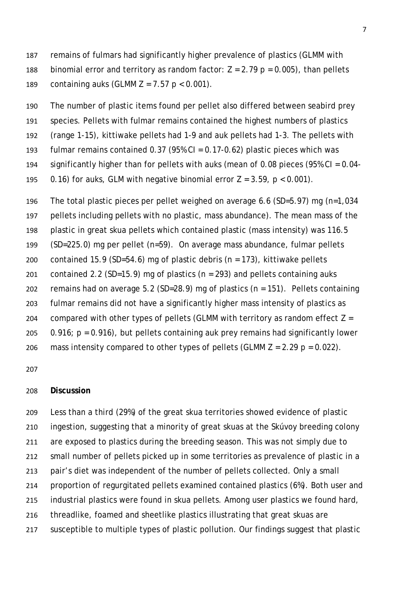remains of fulmars had significantly higher prevalence of plastics (GLMM with 188 binomial error and territory as random factor:  $Z = 2.79$   $p = 0.005$ ), than pellets containing auks (GLMM Z = 7.57 *p* < 0.001).

The number of plastic items found per pellet also differed between seabird prey

species. Pellets with fulmar remains contained the highest numbers of plastics

(range 1-15), kittiwake pellets had 1-9 and auk pellets had 1-3. The pellets with

- fulmar remains contained 0.37 (95% CI = 0.17-0.62) plastic pieces which was
- significantly higher than for pellets with auks (mean of 0.08 pieces (95% CI = 0.04-
- 195 0.16) for auks, GLM with negative binomial error  $Z = 3.59$ ,  $p < 0.001$ .

 The total plastic pieces per pellet weighed on average 6.6 (SD=5.97) mg (n=1,034 pellets including pellets with no plastic, mass abundance). The mean mass of the plastic in great skua pellets which contained plastic (mass intensity) was 116.5 (SD=225.0) mg per pellet (n=59). On average mass abundance, fulmar pellets contained 15.9 (SD=54.6) mg of plastic debris (n = 173), kittiwake pellets 201 contained 2.2 (SD=15.9) mg of plastics ( $n = 293$ ) and pellets containing auks remains had on average 5.2 (SD=28.9) mg of plastics (n = 151). Pellets containing fulmar remains did not have a significantly higher mass intensity of plastics as 204 compared with other types of pellets (GLMM with territory as random effect  $Z =$  0.916; *p* = 0.916), but pellets containing auk prey remains had significantly lower 206 mass intensity compared to other types of pellets (GLMM  $Z = 2.29$   $p = 0.022$ ).

### **Discussion**

 Less than a third (29%) of the great skua territories showed evidence of plastic ingestion, suggesting that a minority of great skuas at the Skúvoy breeding colony are exposed to plastics during the breeding season. This was not simply due to small number of pellets picked up in some territories as prevalence of plastic in a pair's diet was independent of the number of pellets collected. Only a small proportion of regurgitated pellets examined contained plastics (6%). Both user and industrial plastics were found in skua pellets. Among user plastics we found hard, threadlike, foamed and sheetlike plastics illustrating that great skuas are susceptible to multiple types of plastic pollution. Our findings suggest that plastic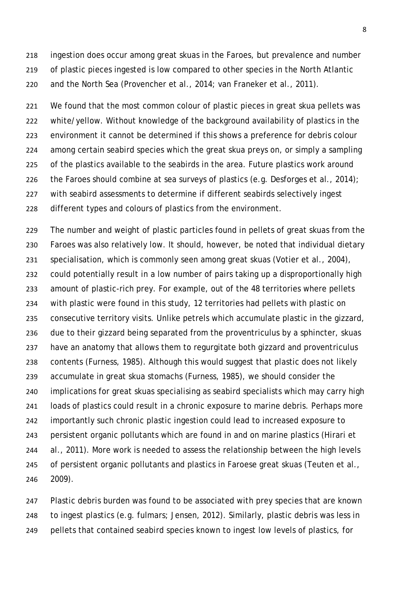ingestion does occur among great skuas in the Faroes, but prevalence and number of plastic pieces ingested is low compared to other species in the North Atlantic and the North Sea (Provencher et al., 2014; van Franeker et al., 2011).

 We found that the most common colour of plastic pieces in great skua pellets was white/yellow. Without knowledge of the background availability of plastics in the environment it cannot be determined if this shows a preference for debris colour among certain seabird species which the great skua preys on, or simply a sampling of the plastics available to the seabirds in the area. Future plastics work around 226 the Faroes should combine at sea surveys of plastics (e.g. Desforges et al., 2014); with seabird assessments to determine if different seabirds selectively ingest different types and colours of plastics from the environment.

 The number and weight of plastic particles found in pellets of great skuas from the Faroes was also relatively low. It should, however, be noted that individual dietary specialisation, which is commonly seen among great skuas (Votier et al., 2004), could potentially result in a low number of pairs taking up a disproportionally high amount of plastic-rich prey. For example, out of the 48 territories where pellets with plastic were found in this study, 12 territories had pellets with plastic on consecutive territory visits. Unlike petrels which accumulate plastic in the gizzard, due to their gizzard being separated from the proventriculus by a sphincter, skuas have an anatomy that allows them to regurgitate both gizzard and proventriculus contents (Furness, 1985). Although this would suggest that plastic does not likely accumulate in great skua stomachs (Furness, 1985), we should consider the implications for great skuas specialising as seabird specialists which may carry high loads of plastics could result in a chronic exposure to marine debris. Perhaps more importantly such chronic plastic ingestion could lead to increased exposure to persistent organic pollutants which are found in and on marine plastics (Hirari et al., 2011). More work is needed to assess the relationship between the high levels of persistent organic pollutants and plastics in Faroese great skuas (Teuten et al., 2009).

 Plastic debris burden was found to be associated with prey species that are known to ingest plastics (e.g. fulmars; Jensen, 2012). Similarly, plastic debris was less in pellets that contained seabird species known to ingest low levels of plastics, for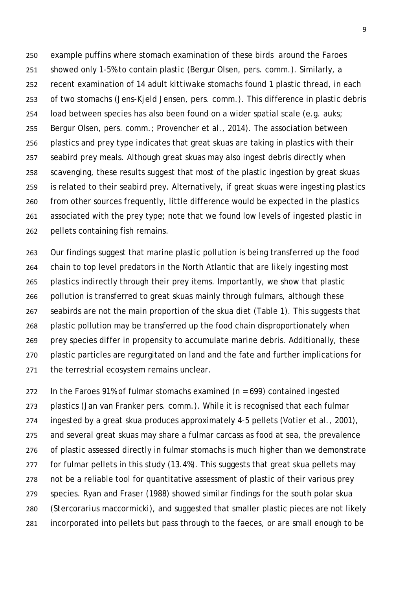example puffins where stomach examination of these birds around the Faroes showed only 1-5% to contain plastic (Bergur Olsen, pers. comm.). Similarly, a recent examination of 14 adult kittiwake stomachs found 1 plastic thread, in each of two stomachs (Jens-Kjeld Jensen, pers. comm.). This difference in plastic debris load between species has also been found on a wider spatial scale (e.g. auks; Bergur Olsen, pers. comm.; Provencher et al., 2014). The association between plastics and prey type indicates that great skuas are taking in plastics with their seabird prey meals. Although great skuas may also ingest debris directly when scavenging, these results suggest that most of the plastic ingestion by great skuas is related to their seabird prey. Alternatively, if great skuas were ingesting plastics from other sources frequently, little difference would be expected in the plastics associated with the prey type; note that we found low levels of ingested plastic in pellets containing fish remains.

 Our findings suggest that marine plastic pollution is being transferred up the food chain to top level predators in the North Atlantic that are likely ingesting most plastics indirectly through their prey items. Importantly, we show that plastic pollution is transferred to great skuas mainly through fulmars, although these seabirds are not the main proportion of the skua diet (Table 1). This suggests that plastic pollution may be transferred up the food chain disproportionately when prey species differ in propensity to accumulate marine debris. Additionally, these plastic particles are regurgitated on land and the fate and further implications for the terrestrial ecosystem remains unclear.

272 In the Faroes 91% of fulmar stomachs examined ( $n = 699$ ) contained ingested plastics (Jan van Franker pers. comm.). While it is recognised that each fulmar ingested by a great skua produces approximately 4-5 pellets (Votier et al., 2001), and several great skuas may share a fulmar carcass as food at sea, the prevalence of plastic assessed directly in fulmar stomachs is much higher than we demonstrate for fulmar pellets in this study (13.4%). This suggests that great skua pellets may not be a reliable tool for quantitative assessment of plastic of their various prey species. Ryan and Fraser (1988) showed similar findings for the south polar skua (*Stercorarius maccormicki*), and suggested that smaller plastic pieces are not likely incorporated into pellets but pass through to the faeces, or are small enough to be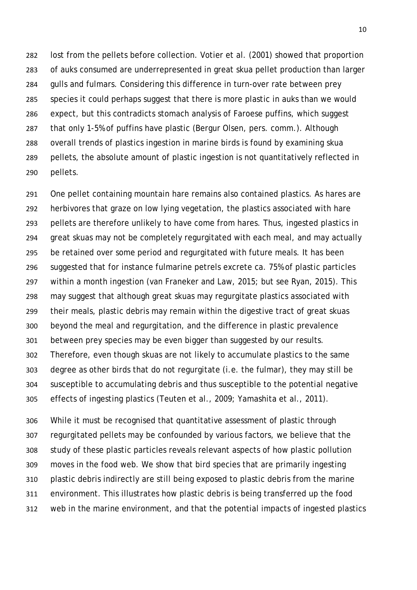lost from the pellets before collection. Votier et al. (2001) showed that proportion of auks consumed are underrepresented in great skua pellet production than larger gulls and fulmars. Considering this difference in turn-over rate between prey species it could perhaps suggest that there is more plastic in auks than we would expect, but this contradicts stomach analysis of Faroese puffins, which suggest that only 1-5% of puffins have plastic (Bergur Olsen, pers. comm.). Although overall trends of plastics ingestion in marine birds is found by examining skua pellets, the absolute amount of plastic ingestion is not quantitatively reflected in pellets.

 One pellet containing mountain hare remains also contained plastics. As hares are herbivores that graze on low lying vegetation, the plastics associated with hare pellets are therefore unlikely to have come from hares. Thus, ingested plastics in great skuas may not be completely regurgitated with each meal, and may actually be retained over some period and regurgitated with future meals. It has been suggested that for instance fulmarine petrels excrete ca. 75% of plastic particles within a month ingestion (van Franeker and Law, 2015; but see Ryan, 2015). This may suggest that although great skuas may regurgitate plastics associated with their meals, plastic debris may remain within the digestive tract of great skuas beyond the meal and regurgitation, and the difference in plastic prevalence between prey species may be even bigger than suggested by our results. Therefore, even though skuas are not likely to accumulate plastics to the same degree as other birds that do not regurgitate (i.e. the fulmar), they may still be susceptible to accumulating debris and thus susceptible to the potential negative effects of ingesting plastics (Teuten et al., 2009; Yamashita et al., 2011).

 While it must be recognised that quantitative assessment of plastic through regurgitated pellets may be confounded by various factors, we believe that the study of these plastic particles reveals relevant aspects of how plastic pollution moves in the food web. We show that bird species that are primarily ingesting plastic debris indirectly are still being exposed to plastic debris from the marine environment. This illustrates how plastic debris is being transferred up the food web in the marine environment, and that the potential impacts of ingested plastics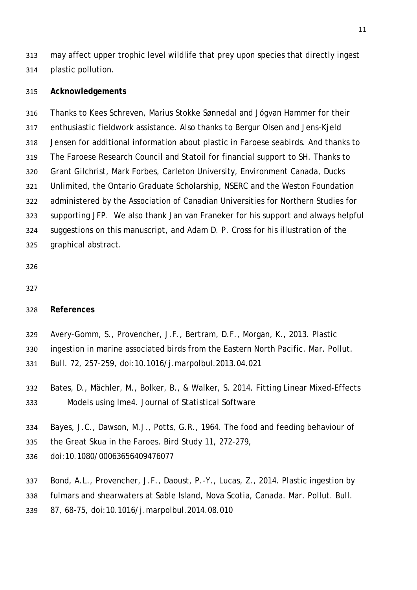may affect upper trophic level wildlife that prey upon species that directly ingest plastic pollution.

### **Acknowledgements**

 Thanks to Kees Schreven, Marius Stokke Sønnedal and Jógvan Hammer for their enthusiastic fieldwork assistance. Also thanks to Bergur Olsen and Jens-Kjeld Jensen for additional information about plastic in Faroese seabirds. And thanks to The Faroese Research Council and Statoil for financial support to SH. Thanks to Grant Gilchrist, Mark Forbes, Carleton University, Environment Canada, Ducks Unlimited, the Ontario Graduate Scholarship, NSERC and the Weston Foundation administered by the Association of Canadian Universities for Northern Studies for supporting JFP. We also thank Jan van Franeker for his support and always helpful suggestions on this manuscript, and Adam D. P. Cross for his illustration of the graphical abstract.

- 
- 

### **References**

- Avery-Gomm, S., Provencher, J.F., Bertram, D.F., Morgan, K., 2013. Plastic
- ingestion in marine associated birds from the Eastern North Pacific. Mar. Pollut.
- Bull. 72, 257-259, doi:10.1016/j.marpolbul.2013.04.021
- Bates, D., Mächler, M., Bolker, B., & Walker, S. 2014. Fitting Linear Mixed-Effects Models using lme4. Journal of Statistical Software
- Bayes, J.C., Dawson, M.J., Potts, G.R., 1964. The food and feeding behaviour of
- the Great Skua in the Faroes. Bird Study 11, 272-279,
- doi:10.1080/00063656409476077
- Bond, A.L., Provencher, J.F., Daoust, P.-Y., Lucas, Z., 2014. Plastic ingestion by
- fulmars and shearwaters at Sable Island, Nova Scotia, Canada. Mar. Pollut. Bull.
- 87, 68-75, doi:10.1016/j.marpolbul.2014.08.010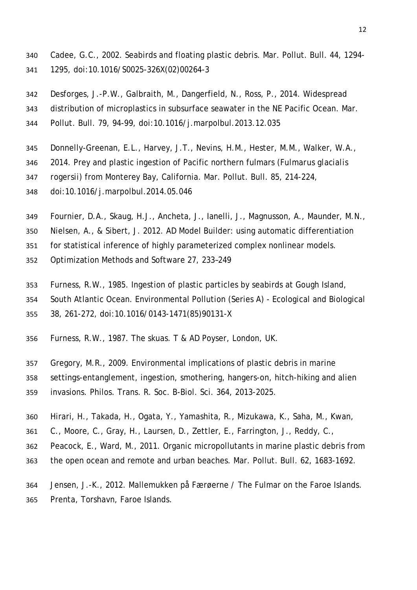- Cadee, G.C., 2002. Seabirds and floating plastic debris. Mar. Pollut. Bull. 44, 1294- 1295, doi:10.1016/S0025-326X(02)00264-3
- Desforges, J.-P.W., Galbraith, M., Dangerfield, N., Ross, P., 2014. Widespread
- distribution of microplastics in subsurface seawater in the NE Pacific Ocean. Mar. Pollut. Bull. 79, 94-99, doi:10.1016/j.marpolbul.2013.12.035
- Donnelly-Greenan, E.L., Harvey, J.T., Nevins, H.M., Hester, M.M., Walker, W.A.,
- 2014. Prey and plastic ingestion of Pacific northern fulmars (*Fulmarus glacialis*
- *rogersii*) from Monterey Bay, California. Mar. Pollut. Bull. 85, 214-224,
- doi:10.1016/j.marpolbul.2014.05.046
- Fournier, D.A., Skaug, H.J., Ancheta, J., Ianelli, J., Magnusson, A., Maunder, M.N.,
- Nielsen, A., & Sibert, J. 2012. AD Model Builder: using automatic differentiation
- for statistical inference of highly parameterized complex nonlinear models.
- Optimization Methods and Software 27, 233–249
- Furness, R.W., 1985. Ingestion of plastic particles by seabirds at Gough Island,
- South Atlantic Ocean. Environmental Pollution (Series A) Ecological and Biological
- 38, 261-272, doi:10.1016/0143-1471(85)90131-X
- Furness, R.W., 1987. The skuas. T & AD Poyser, London, UK.
- Gregory, M.R., 2009. Environmental implications of plastic debris in marine settings-entanglement, ingestion, smothering, hangers-on, hitch-hiking and alien invasions. Philos. Trans. R. Soc. B-Biol. Sci. 364, 2013-2025.
- Hirari, H., Takada, H., Ogata, Y., Yamashita, R., Mizukawa, K., Saha, M., Kwan,
- C., Moore, C., Gray, H., Laursen, D., Zettler, E., Farrington, J., Reddy, C.,
- Peacock, E., Ward, M., 2011. Organic micropollutants in marine plastic debris from
- the open ocean and remote and urban beaches. Mar. Pollut. Bull. 62, 1683-1692.
- Jensen, J.-K., 2012. Mallemukken på Færøerne / The Fulmar on the Faroe Islands. Prenta, Torshavn, Faroe Islands.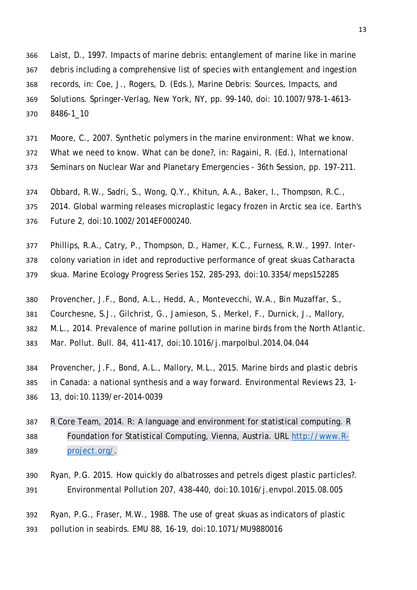Laist, D., 1997. Impacts of marine debris: entanglement of marine like in marine debris including a comprehensive list of species with entanglement and ingestion records, in: Coe, J., Rogers, D. (Eds.), Marine Debris: Sources, Impacts, and Solutions. Springer-Verlag, New York, NY, pp. 99-140, doi: 10.1007/978-1-4613- 8486-1\_10

 Moore, C., 2007. Synthetic polymers in the marine environment: What we know. What we need to know. What can be done?, in: Ragaini, R. (Ed.), International Seminars on Nuclear War and Planetary Emergencies - 36th Session, pp. 197-211.

Obbard, R.W., Sadri, S., Wong, Q.Y., Khitun, A.A., Baker, I., Thompson, R.C.,

 2014. Global warming releases microplastic legacy frozen in Arctic sea ice. Earth's Future 2, doi:10.1002/2014EF000240.

 Phillips, R.A., Catry, P., Thompson, D., Hamer, K.C., Furness, R.W., 1997. Inter- colony variation in idet and reproductive performance of great skuas *Catharacta skua*. Marine Ecology Progress Series 152, 285-293, doi:10.3354/meps152285

Provencher, J.F., Bond, A.L., Hedd, A., Montevecchi, W.A., Bin Muzaffar, S.,

Courchesne, S.J., Gilchrist, G., Jamieson, S., Merkel, F., Durnick, J., Mallory,

M.L., 2014. Prevalence of marine pollution in marine birds from the North Atlantic.

Mar. Pollut. Bull. 84, 411-417, doi:10.1016/j.marpolbul.2014.04.044

 Provencher, J.F., Bond, A.L., Mallory, M.L., 2015. Marine birds and plastic debris in Canada: a national synthesis and a way forward. Environmental Reviews 23, 1- 13, doi:10.1139/er-2014-0039

 R Core Team, 2014. R: A language and environment for statistical computing. R Foundation for Statistical Computing, Vienna, Austria. URL [http://www.R-](http://www.r-project.org/)[project.org/.](http://www.r-project.org/)

 Ryan, P.G. 2015. How quickly do albatrosses and petrels digest plastic particles?. Environmental Pollution 207, 438–440, doi:10.1016/j.envpol.2015.08.005

 Ryan, P.G., Fraser, M.W., 1988. The use of great skuas as indicators of plastic pollution in seabirds. EMU 88, 16-19, doi:10.1071/MU9880016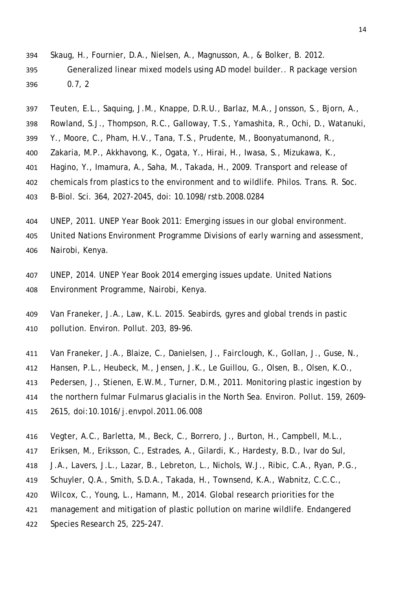- Skaug, H., Fournier, D.A., Nielsen, A., Magnusson, A., & Bolker, B. 2012. Generalized linear mixed models using AD model builder.. R package version 0.7, 2
- Teuten, E.L., Saquing, J.M., Knappe, D.R.U., Barlaz, M.A., Jonsson, S., Bjorn, A.,
- Rowland, S.J., Thompson, R.C., Galloway, T.S., Yamashita, R., Ochi, D., Watanuki,
- Y., Moore, C., Pham, H.V., Tana, T.S., Prudente, M., Boonyatumanond, R.,
- Zakaria, M.P., Akkhavong, K., Ogata, Y., Hirai, H., Iwasa, S., Mizukawa, K.,
- Hagino, Y., Imamura, A., Saha, M., Takada, H., 2009. Transport and release of
- chemicals from plastics to the environment and to wildlife. Philos. Trans. R. Soc.
- B-Biol. Sci. 364, 2027-2045, doi: 10.1098/rstb.2008.0284
- UNEP, 2011. UNEP Year Book 2011: Emerging issues in our global environment. United Nations Environment Programme Divisions of early warning and assessment, Nairobi, Kenya.
- UNEP, 2014. UNEP Year Book 2014 emerging issues update. United Nations Environment Programme, Nairobi, Kenya.
- Van Franeker, J.A., Law, K.L. 2015. Seabirds, gyres and global trends in pastic pollution. Environ. Pollut. 203, 89-96.
- Van Franeker, J.A., Blaize, C., Danielsen, J., Fairclough, K., Gollan, J., Guse, N.,
- Hansen, P.L., Heubeck, M., Jensen, J.K., Le Guillou, G., Olsen, B., Olsen, K.O.,
- Pedersen, J., Stienen, E.W.M., Turner, D.M., 2011. Monitoring plastic ingestion by
- the northern fulmar *Fulmarus glacialis* in the North Sea. Environ. Pollut. 159, 2609-
- 2615, doi:10.1016/j.envpol.2011.06.008
- Vegter, A.C., Barletta, M., Beck, C., Borrero, J., Burton, H., Campbell, M.L.,
- Eriksen, M., Eriksson, C., Estrades, A., Gilardi, K., Hardesty, B.D., Ivar do Sul,
- J.A., Lavers, J.L., Lazar, B., Lebreton, L., Nichols, W.J., Ribic, C.A., Ryan, P.G.,
- Schuyler, Q.A., Smith, S.D.A., Takada, H., Townsend, K.A., Wabnitz, C.C.C.,
- Wilcox, C., Young, L., Hamann, M., 2014. Global research priorities for the
- management and mitigation of plastic pollution on marine wildlife. Endangered
- Species Research 25, 225-247.